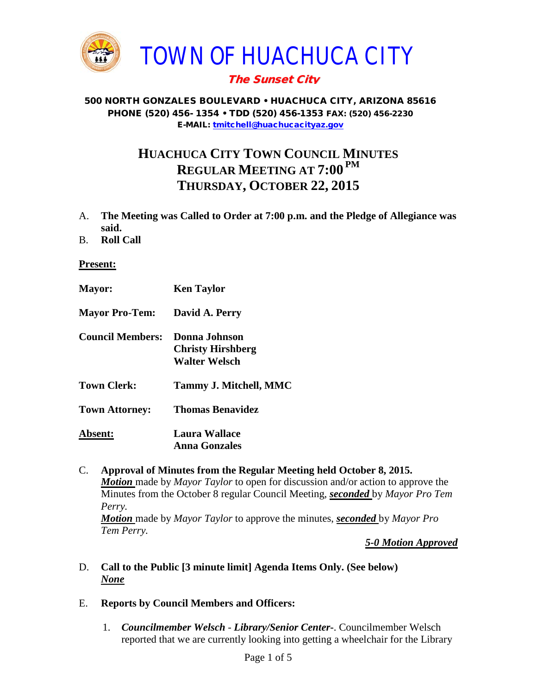

# The Sunset City

#### 500 NORTH GONZALES BOULEVARD • HUACHUCA CITY, ARIZONA 85616 PHONE (520) 456- 1354 • TDD (520) 456-1353 FAX: (520) 456-2230 E-MAIL: [tmitchell@huachucacityaz.gov](mailto:tmitchell@huachucacityaz.gov)

# **HUACHUCA CITY TOWN COUNCIL MINUTES REGULAR MEETING AT 7:00 PM THURSDAY, OCTOBER 22, 2015**

- A. **The Meeting was Called to Order at 7:00 p.m. and the Pledge of Allegiance was said.**
- B. **Roll Call**

## **Present:**

| <b>Mayor:</b>           | <b>Ken Taylor</b>                                                 |
|-------------------------|-------------------------------------------------------------------|
| <b>Mayor Pro-Tem:</b>   | David A. Perry                                                    |
| <b>Council Members:</b> | Donna Johnson<br><b>Christy Hirshberg</b><br><b>Walter Welsch</b> |
| <b>Town Clerk:</b>      | Tammy J. Mitchell, MMC                                            |
| <b>Town Attorney:</b>   | <b>Thomas Benavidez</b>                                           |
| Absent:                 | Laura Wallace<br><b>Anna Gonzales</b>                             |

C. **Approval of Minutes from the Regular Meeting held October 8, 2015.** *Motion* made by *Mayor Taylor* to open for discussion and/or action to approve the Minutes from the October 8 regular Council Meeting, *seconded* by *Mayor Pro Tem Perry. Motion* made by *Mayor Taylor* to approve the minutes, *seconded* by *Mayor Pro Tem Perry.*

*5-0 Motion Approved*

- D. **Call to the Public [3 minute limit] Agenda Items Only. (See below)** *None*
- E. **Reports by Council Members and Officers:**
	- 1. *Councilmember Welsch - Library/Senior Center***-**. Councilmember Welsch reported that we are currently looking into getting a wheelchair for the Library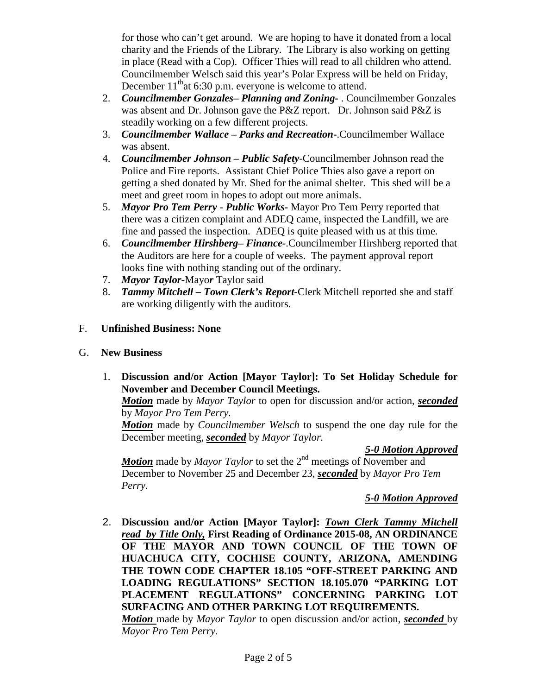for those who can't get around. We are hoping to have it donated from a local charity and the Friends of the Library. The Library is also working on getting in place (Read with a Cop). Officer Thies will read to all children who attend. Councilmember Welsch said this year's Polar Express will be held on Friday, December  $11<sup>th</sup>$ at 6:30 p.m. everyone is welcome to attend.

- 2. *Councilmember Gonzales***–** *Planning and Zoning-* . Councilmember Gonzales was absent and Dr. Johnson gave the P&Z report. Dr. Johnson said P&Z is steadily working on a few different projects.
- 3. *Councilmember Wallace* **–** *Parks and Recreation***-**.Councilmember Wallace was absent.
- 4. *Councilmember Johnson – Public Safety-*Councilmember Johnson read the Police and Fire reports. Assistant Chief Police Thies also gave a report on getting a shed donated by Mr. Shed for the animal shelter. This shed will be a meet and greet room in hopes to adopt out more animals.
- 5. *Mayor Pro Tem Perry Public Works-* Mayor Pro Tem Perry reported that there was a citizen complaint and ADEQ came, inspected the Landfill, we are fine and passed the inspection. ADEQ is quite pleased with us at this time.
- 6. *Councilmember Hirshberg***–** *Finance-*.Councilmember Hirshberg reported that the Auditors are here for a couple of weeks. The payment approval report looks fine with nothing standing out of the ordinary.
- 7. *Mayor Taylor-*Mayo*r* Taylor said
- 8. *Tammy Mitchell – Town Clerk's Report-*Clerk Mitchell reported she and staff are working diligently with the auditors.
- F. **Unfinished Business: None**
- G. **New Business**
	- 1. **Discussion and/or Action [Mayor Taylor]: To Set Holiday Schedule for November and December Council Meetings.**

*Motion* made by *Mayor Taylor* to open for discussion and/or action, *seconded* by *Mayor Pro Tem Perry.*

*Motion* made by *Councilmember Welsch* to suspend the one day rule for the December meeting, *seconded* by *Mayor Taylor.*

## *5-0 Motion Approved*

*Motion* made by *Mayor Taylor* to set the 2<sup>nd</sup> meetings of November and December to November 25 and December 23, *seconded* by *Mayor Pro Tem Perry.*

## *5-0 Motion Approved*

2. **Discussion and/or Action [Mayor Taylor]:** *Town Clerk Tammy Mitchell read by Title Only,* **First Reading of Ordinance 2015-08, AN ORDINANCE OF THE MAYOR AND TOWN COUNCIL OF THE TOWN OF HUACHUCA CITY, COCHISE COUNTY, ARIZONA, AMENDING THE TOWN CODE CHAPTER 18.105 "OFF-STREET PARKING AND LOADING REGULATIONS" SECTION 18.105.070 "PARKING LOT PLACEMENT REGULATIONS" CONCERNING PARKING LOT SURFACING AND OTHER PARKING LOT REQUIREMENTS.**  *Motion* made by *Mayor Taylor* to open discussion and/or action, *seconded* by *Mayor Pro Tem Perry.*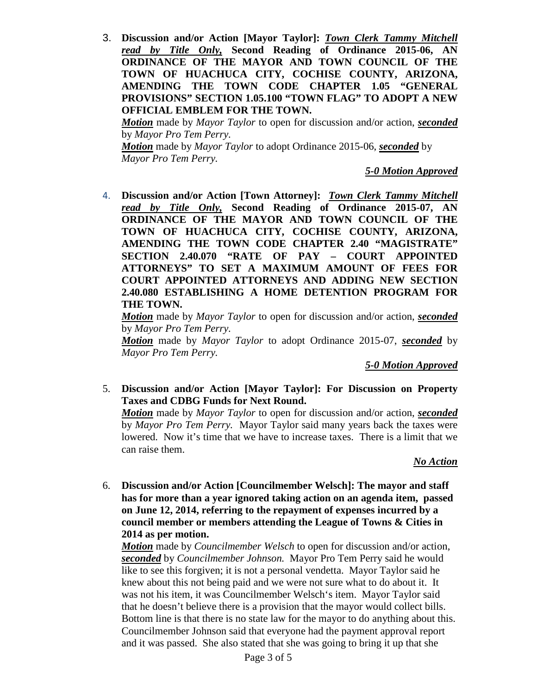3. **Discussion and/or Action [Mayor Taylor]:** *Town Clerk Tammy Mitchell read by Title Only,* **Second Reading of Ordinance 2015-06, AN ORDINANCE OF THE MAYOR AND TOWN COUNCIL OF THE TOWN OF HUACHUCA CITY, COCHISE COUNTY, ARIZONA, AMENDING THE TOWN CODE CHAPTER 1.05 "GENERAL PROVISIONS" SECTION 1.05.100 "TOWN FLAG" TO ADOPT A NEW OFFICIAL EMBLEM FOR THE TOWN.**

*Motion* made by *Mayor Taylor* to open for discussion and/or action, *seconded* by *Mayor Pro Tem Perry.*

*Motion* made by *Mayor Taylor* to adopt Ordinance 2015-06, *seconded* by *Mayor Pro Tem Perry.*

*5-0 Motion Approved*

4. **Discussion and/or Action [Town Attorney]:** *Town Clerk Tammy Mitchell read by Title Only,* **Second Reading of Ordinance 2015-07, AN ORDINANCE OF THE MAYOR AND TOWN COUNCIL OF THE TOWN OF HUACHUCA CITY, COCHISE COUNTY, ARIZONA, AMENDING THE TOWN CODE CHAPTER 2.40 "MAGISTRATE" SECTION 2.40.070 "RATE OF PAY – COURT APPOINTED ATTORNEYS" TO SET A MAXIMUM AMOUNT OF FEES FOR COURT APPOINTED ATTORNEYS AND ADDING NEW SECTION 2.40.080 ESTABLISHING A HOME DETENTION PROGRAM FOR THE TOWN.** 

*Motion* made by *Mayor Taylor* to open for discussion and/or action, *seconded* by *Mayor Pro Tem Perry.*

*Motion* made by *Mayor Taylor* to adopt Ordinance 2015-07, *seconded* by *Mayor Pro Tem Perry.*

*5-0 Motion Approved*

5. **Discussion and/or Action [Mayor Taylor]: For Discussion on Property Taxes and CDBG Funds for Next Round.**

*Motion* made by *Mayor Taylor* to open for discussion and/or action, *seconded* by *Mayor Pro Tem Perry.* Mayor Taylor said many years back the taxes were lowered. Now it's time that we have to increase taxes. There is a limit that we can raise them.

#### *No Action*

6. **Discussion and/or Action [Councilmember Welsch]: The mayor and staff has for more than a year ignored taking action on an agenda item, passed on June 12, 2014, referring to the repayment of expenses incurred by a council member or members attending the League of Towns & Cities in 2014 as per motion.**

*Motion* made by *Councilmember Welsch* to open for discussion and/or action, *seconded* by *Councilmember Johnson.* Mayor Pro Tem Perry said he would like to see this forgiven; it is not a personal vendetta. Mayor Taylor said he knew about this not being paid and we were not sure what to do about it. It was not his item, it was Councilmember Welsch's item. Mayor Taylor said that he doesn't believe there is a provision that the mayor would collect bills. Bottom line is that there is no state law for the mayor to do anything about this. Councilmember Johnson said that everyone had the payment approval report and it was passed. She also stated that she was going to bring it up that she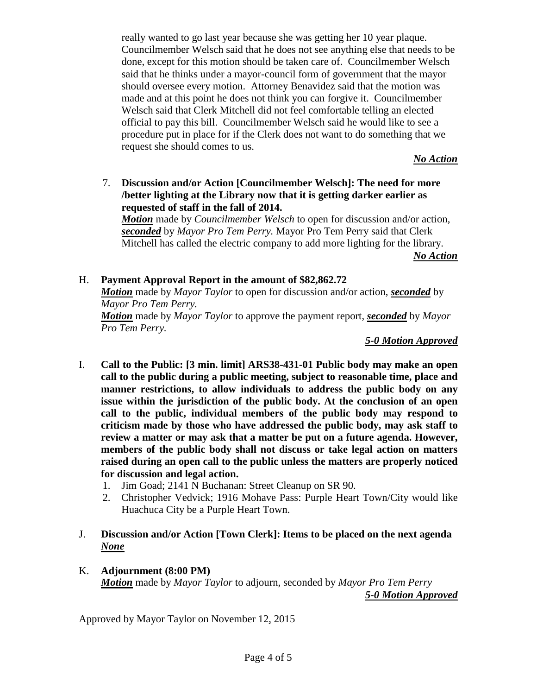really wanted to go last year because she was getting her 10 year plaque. Councilmember Welsch said that he does not see anything else that needs to be done, except for this motion should be taken care of. Councilmember Welsch said that he thinks under a mayor-council form of government that the mayor should oversee every motion. Attorney Benavidez said that the motion was made and at this point he does not think you can forgive it. Councilmember Welsch said that Clerk Mitchell did not feel comfortable telling an elected official to pay this bill. Councilmember Welsch said he would like to see a procedure put in place for if the Clerk does not want to do something that we request she should comes to us.

*No Action*

7. **Discussion and/or Action [Councilmember Welsch]: The need for more /better lighting at the Library now that it is getting darker earlier as requested of staff in the fall of 2014.** *Motion* made by *Councilmember Welsch* to open for discussion and/or action,

*seconded* by *Mayor Pro Tem Perry.* Mayor Pro Tem Perry said that Clerk Mitchell has called the electric company to add more lighting for the library. *No Action*

# H. **Payment Approval Report in the amount of \$82,862.72**

*Motion* made by *Mayor Taylor* to open for discussion and/or action, *seconded* by *Mayor Pro Tem Perry.*

*Motion* made by *Mayor Taylor* to approve the payment report, *seconded* by *Mayor Pro Tem Perry.*

*5-0 Motion Approved*

- I. **Call to the Public: [3 min. limit] ARS38-431-01 Public body may make an open call to the public during a public meeting, subject to reasonable time, place and manner restrictions, to allow individuals to address the public body on any issue within the jurisdiction of the public body. At the conclusion of an open call to the public, individual members of the public body may respond to criticism made by those who have addressed the public body, may ask staff to review a matter or may ask that a matter be put on a future agenda. However, members of the public body shall not discuss or take legal action on matters raised during an open call to the public unless the matters are properly noticed for discussion and legal action.**
	- 1. Jim Goad; 2141 N Buchanan: Street Cleanup on SR 90.
	- 2. Christopher Vedvick; 1916 Mohave Pass: Purple Heart Town/City would like Huachuca City be a Purple Heart Town.

# J. **Discussion and/or Action [Town Clerk]: Items to be placed on the next agenda** *None*

### K. **Adjournment (8:00 PM)** *Motion* made by *Mayor Taylor* to adjourn, seconded by *Mayor Pro Tem Perry 5-0 Motion Approved*

Approved by Mayor Taylor on November 12, 2015